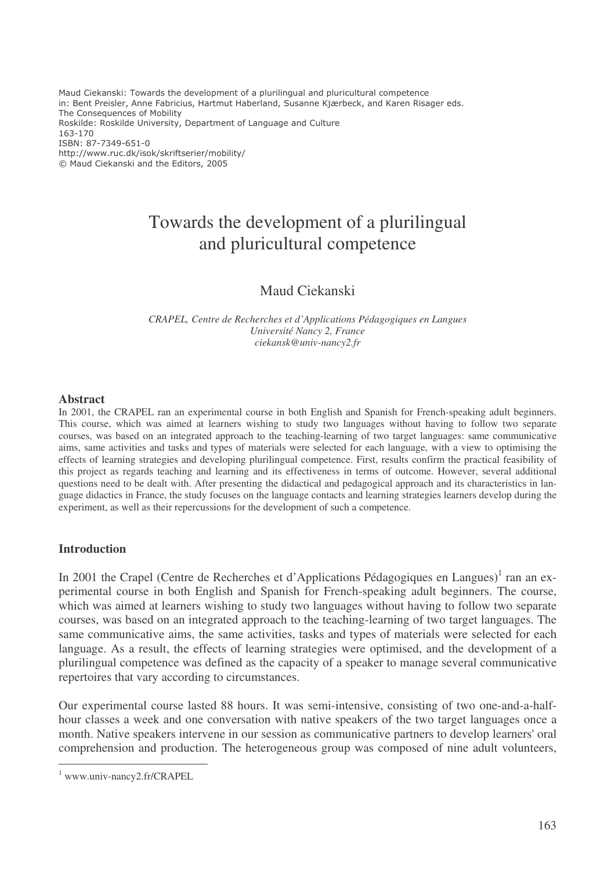Maud Ciekanski: Towards the development of a plurilingual and pluricultural competence in: Bent Preisler, Anne Fabricius, Hartmut Haberland, Susanne Kjærbeck, and Karen Risager eds. The Consequences of Mobility Roskilde: Roskilde University, Department of Language and Culture 163-170 ISBN: 87-7349-651-0 http://www.ruc.dk/isok/skriftserier/mobility/ © Maud Ciekanski and the Editors, 2005

# Towards the development of a plurilingual and pluricultural competence

## Maud Ciekanski

*CRAPEL, Centre de Recherches et d'Applications Pédagogiques en Langues Université Nancy 2, France ciekansk@univ-nancy2.fr*

#### **Abstract**

In 2001, the CRAPEL ran an experimental course in both English and Spanish for French-speaking adult beginners. This course, which was aimed at learners wishing to study two languages without having to follow two separate courses, was based on an integrated approach to the teaching-learning of two target languages: same communicative aims, same activities and tasks and types of materials were selected for each language, with a view to optimising the effects of learning strategies and developing plurilingual competence. First, results confirm the practical feasibility of this project as regards teaching and learning and its effectiveness in terms of outcome. However, several additional questions need to be dealt with. After presenting the didactical and pedagogical approach and its characteristics in language didactics in France, the study focuses on the language contacts and learning strategies learners develop during the experiment, as well as their repercussions for the development of such a competence.

## **Introduction**

In 2001 the Crapel (Centre de Recherches et d'Applications Pédagogiques en Langues)<sup>1</sup> ran an experimental course in both English and Spanish for French-speaking adult beginners. The course, which was aimed at learners wishing to study two languages without having to follow two separate courses, was based on an integrated approach to the teaching-learning of two target languages. The same communicative aims, the same activities, tasks and types of materials were selected for each language. As a result, the effects of learning strategies were optimised, and the development of a plurilingual competence was defined as the capacity of a speaker to manage several communicative repertoires that vary according to circumstances.

Our experimental course lasted 88 hours. It was semi-intensive, consisting of two one-and-a-halfhour classes a week and one conversation with native speakers of the two target languages once a month. Native speakers intervene in our session as communicative partners to develop learners'oral comprehension and production. The heterogeneous group was composed of nine adult volunteers,

<sup>1</sup> www.univ-nancy2.fr/CRAPEL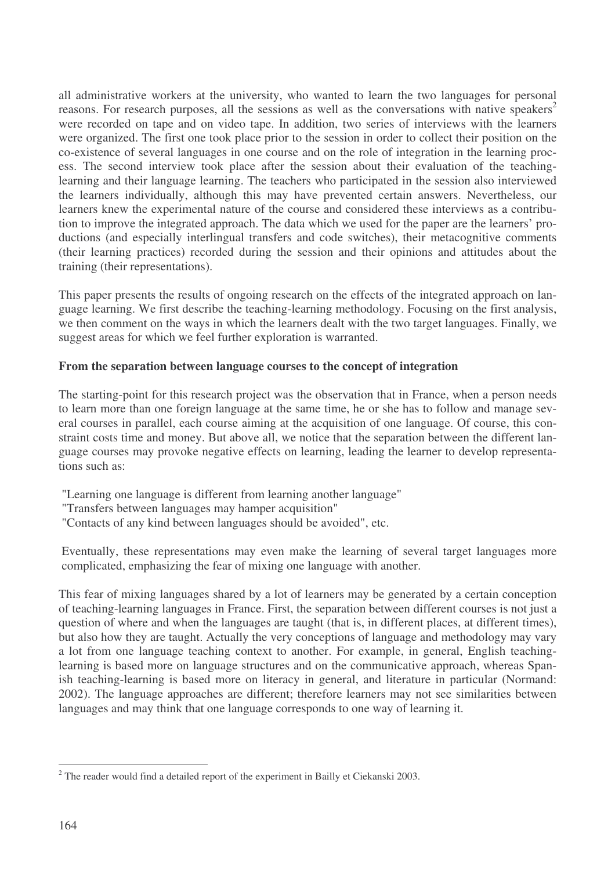all administrative workers at the university, who wanted to learn the two languages for personal reasons. For research purposes, all the sessions as well as the conversations with native speakers<sup>2</sup> were recorded on tape and on video tape. In addition, two series of interviews with the learners were organized. The first one took place prior to the session in order to collect their position on the co-existence of several languages in one course and on the role of integration in the learning process. The second interview took place after the session about their evaluation of the teachinglearning and their language learning. The teachers who participated in the session also interviewed the learners individually, although this may have prevented certain answers. Nevertheless, our learners knew the experimental nature of the course and considered these interviews as a contribution to improve the integrated approach. The data which we used for the paper are the learners' productions (and especially interlingual transfers and code switches), their metacognitive comments (their learning practices) recorded during the session and their opinions and attitudes about the training (their representations).

This paper presents the results of ongoing research on the effects of the integrated approach on language learning. We first describe the teaching-learning methodology. Focusing on the first analysis, we then comment on the ways in which the learners dealt with the two target languages. Finally, we suggest areas for which we feel further exploration is warranted.

## **From the separation between language courses to the concept of integration**

The starting-point for this research project was the observation that in France, when a person needs to learn more than one foreign language at the same time, he or she has to follow and manage several courses in parallel, each course aiming at the acquisition of one language. Of course, this constraint costs time and money. But above all, we notice that the separation between the different language courses may provoke negative effects on learning, leading the learner to develop representations such as:

- "Learning one language is different from learning another language"
- "Transfers between languages may hamper acquisition"
- "Contacts of any kind between languages should be avoided", etc.

Eventually, these representations may even make the learning of several target languages more complicated, emphasizing the fear of mixing one language with another.

This fear of mixing languages shared by a lot of learners may be generated by a certain conception of teaching-learning languages in France. First, the separation between different courses is not just a question of where and when the languages are taught (that is, in different places, at different times), but also how they are taught. Actually the very conceptions of language and methodology may vary a lot from one language teaching context to another. For example, in general, English teachinglearning is based more on language structures and on the communicative approach, whereas Spanish teaching-learning is based more on literacy in general, and literature in particular (Normand: 2002). The language approaches are different; therefore learners may not see similarities between languages and may think that one language corresponds to one way of learning it.

 $2$  The reader would find a detailed report of the experiment in Bailly et Ciekanski 2003.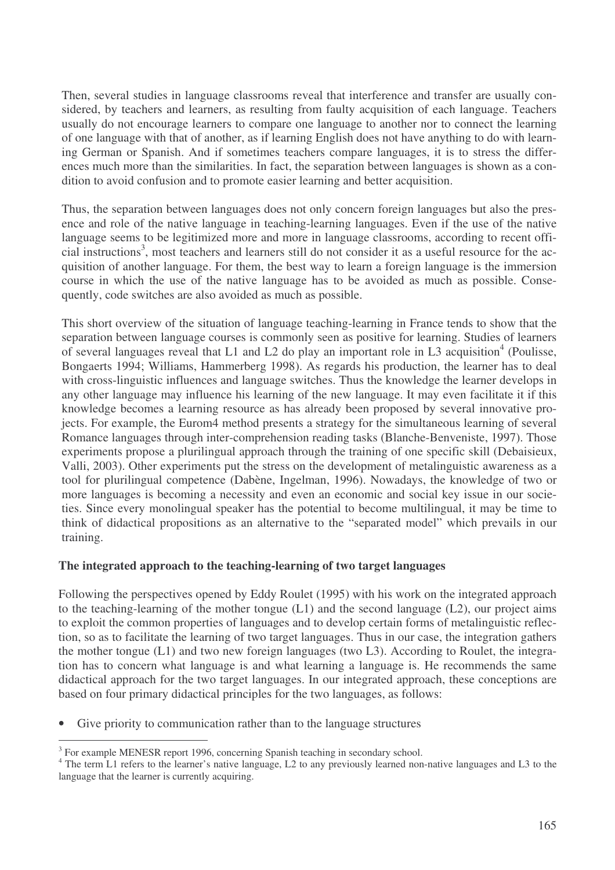Then, several studies in language classrooms reveal that interference and transfer are usually considered, by teachers and learners, as resulting from faulty acquisition of each language. Teachers usually do not encourage learners to compare one language to another nor to connect the learning of one language with that of another, as if learning English does not have anything to do with learning German or Spanish. And if sometimes teachers compare languages, it is to stress the differences much more than the similarities. In fact, the separation between languages is shown as a condition to avoid confusion and to promote easier learning and better acquisition.

Thus, the separation between languages does not only concern foreign languages but also the presence and role of the native language in teaching-learning languages. Even if the use of the native language seems to be legitimized more and more in language classrooms, according to recent official instructions 3 , most teachers and learners still do not consider it as a useful resource for the acquisition of another language. For them, the best way to learn a foreign language is the immersion course in which the use of the native language has to be avoided as much as possible. Consequently, code switches are also avoided as much as possible.

This short overview of the situation of language teaching-learning in France tends to show that the separation between language courses is commonly seen as positive for learning. Studies of learners of several languages reveal that L1 and L2 do play an important role in L3 acquisition<sup>4</sup> (Poulisse, Bongaerts 1994; Williams, Hammerberg 1998). As regards his production, the learner has to deal with cross-linguistic influences and language switches. Thus the knowledge the learner develops in any other language may influence his learning of the new language. It may even facilitate it if this knowledge becomes a learning resource as has already been proposed by several innovative projects. For example, the Eurom4 method presents a strategy for the simultaneous learning of several Romance languages through inter-comprehension reading tasks (Blanche-Benveniste, 1997). Those experiments propose a plurilingual approach through the training of one specific skill (Debaisieux, Valli, 2003). Other experiments put the stress on the development of metalinguistic awareness as a tool for plurilingual competence (Dabène, Ingelman, 1996). Nowadays, the knowledge of two or more languages is becoming a necessity and even an economic and social key issue in our societies. Since every monolingual speaker has the potential to become multilingual, it may be time to think of didactical propositions as an alternative to the "separated model" which prevails in our training.

## **The integrated approach to the teaching-learning of two target languages**

Following the perspectives opened by Eddy Roulet (1995) with his work on the integrated approach to the teaching-learning of the mother tongue (L1) and the second language (L2), our project aims to exploit the common properties of languages and to develop certain forms of metalinguistic reflection, so as to facilitate the learning of two target languages. Thus in our case, the integration gathers the mother tongue (L1) and two new foreign languages (two L3). According to Roulet, the integration has to concern what language is and what learning a language is. He recommends the same didactical approach for the two target languages. In our integrated approach, these conceptions are based on four primary didactical principles for the two languages, as follows:

• Give priority to communication rather than to the language structures

<sup>&</sup>lt;sup>3</sup> For example MENESR report 1996, concerning Spanish teaching in secondary school.

<sup>&</sup>lt;sup>4</sup> The term L1 refers to the learner's native language, L2 to any previously learned non-native languages and L3 to the language that the learner is currently acquiring.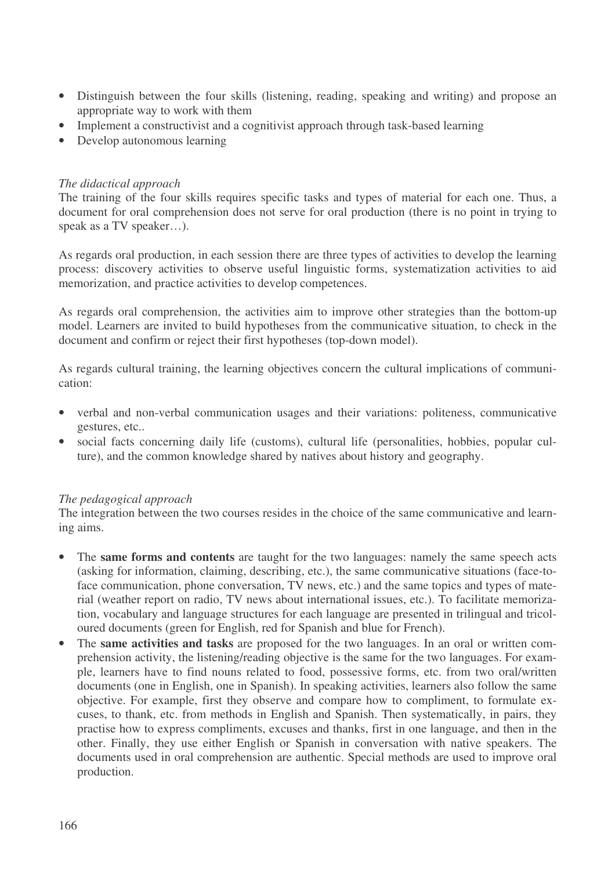- Distinguish between the four skills (listening, reading, speaking and writing) and propose an appropriate way to work with them
- Implement a constructivist and a cognitivist approach through task-based learning
- Develop autonomous learning

## *The didactical approach*

The training of the four skills requires specific tasks and types of material for each one. Thus, a document for oral comprehension does not serve for oral production (there is no point in trying to speak as a TV speaker...).

As regards oral production, in each session there are three types of activities to develop the learning process: discovery activities to observe useful linguistic forms, systematization activities to aid memorization, and practice activities to develop competences.

As regards oral comprehension, the activities aim to improve other strategies than the bottom-up model. Learners are invited to build hypotheses from the communicative situation, to check in the document and confirm or reject their first hypotheses (top-down model).

As regards cultural training, the learning objectives concern the cultural implications of communication:

- verbal and non-verbal communication usages and their variations: politeness, communicative gestures, etc..
- social facts concerning daily life (customs), cultural life (personalities, hobbies, popular culture), and the common knowledge shared by natives about history and geography.

## *The pedagogical approach*

The integration between the two courses resides in the choice of the same communicative and learning aims.

- The **same forms and contents** are taught for the two languages: namely the same speech acts (asking for information, claiming, describing, etc.), the same communicative situations (face-toface communication, phone conversation, TV news, etc.) and the same topics and types of material (weather report on radio, TV news about international issues, etc.). To facilitate memorization, vocabulary and language structures for each language are presented in trilingual and tricoloured documents (green for English, red for Spanish and blue for French).
- The **same activities and tasks** are proposed for the two languages. In an oral or written comprehension activity, the listening/reading objective is the same for the two languages. For example, learners have to find nouns related to food, possessive forms, etc. from two oral/written documents (one in English, one in Spanish). In speaking activities, learners also follow the same objective. For example, first they observe and compare how to compliment, to formulate excuses, to thank, etc. from methods in English and Spanish. Then systematically, in pairs, they practise how to express compliments, excuses and thanks, first in one language, and then in the other. Finally, they use either English or Spanish in conversation with native speakers. The documents used in oral comprehension are authentic. Special methods are used to improve oral production.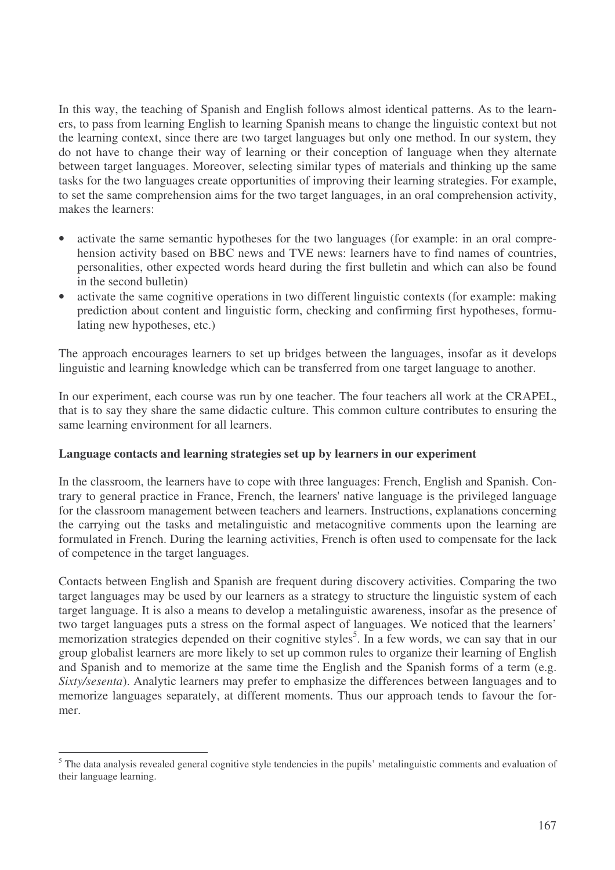In this way, the teaching of Spanish and English follows almost identical patterns. As to the learners, to pass from learning English to learning Spanish means to change the linguistic context but not the learning context, since there are two target languages but only one method. In our system, they do not have to change their way of learning or their conception of language when they alternate between target languages. Moreover, selecting similar types of materials and thinking up the same tasks for the two languages create opportunities of improving their learning strategies. For example, to set the same comprehension aims for the two target languages, in an oral comprehension activity, makes the learners:

- activate the same semantic hypotheses for the two languages (for example: in an oral comprehension activity based on BBC news and TVE news: learners have to find names of countries, personalities, other expected words heard during the first bulletin and which can also be found in the second bulletin)
- activate the same cognitive operations in two different linguistic contexts (for example: making prediction about content and linguistic form, checking and confirming first hypotheses, formulating new hypotheses, etc.)

The approach encourages learners to set up bridges between the languages, insofar as it develops linguistic and learning knowledge which can be transferred from one target language to another.

In our experiment, each course was run by one teacher. The four teachers all work at the CRAPEL, that is to say they share the same didactic culture. This common culture contributes to ensuring the same learning environment for all learners.

## **Language contacts and learning strategies set up by learners in our experiment**

In the classroom, the learners have to cope with three languages: French, English and Spanish. Contrary to general practice in France, French, the learners'native language is the privileged language for the classroom management between teachers and learners. Instructions, explanations concerning the carrying out the tasks and metalinguistic and metacognitive comments upon the learning are formulated in French. During the learning activities, French is often used to compensate for the lack of competence in the target languages.

Contacts between English and Spanish are frequent during discovery activities. Comparing the two target languages may be used by our learners as a strategy to structure the linguistic system of each target language. It is also a means to develop a metalinguistic awareness, insofar as the presence of two target languages puts a stress on the formal aspect of languages. We noticed that the learners' memorization strategies depended on their cognitive styles<sup>5</sup>. In a few words, we can say that in our group globalist learners are more likely to set up common rules to organize their learning of English and Spanish and to memorize at the same time the English and the Spanish forms of a term (e.g. *Sixty/sesenta*). Analytic learners may prefer to emphasize the differences between languages and to memorize languages separately, at different moments. Thus our approach tends to favour the former.

 $<sup>5</sup>$  The data analysis revealed general cognitive style tendencies in the pupils' metalinguistic comments and evaluation of</sup> their language learning.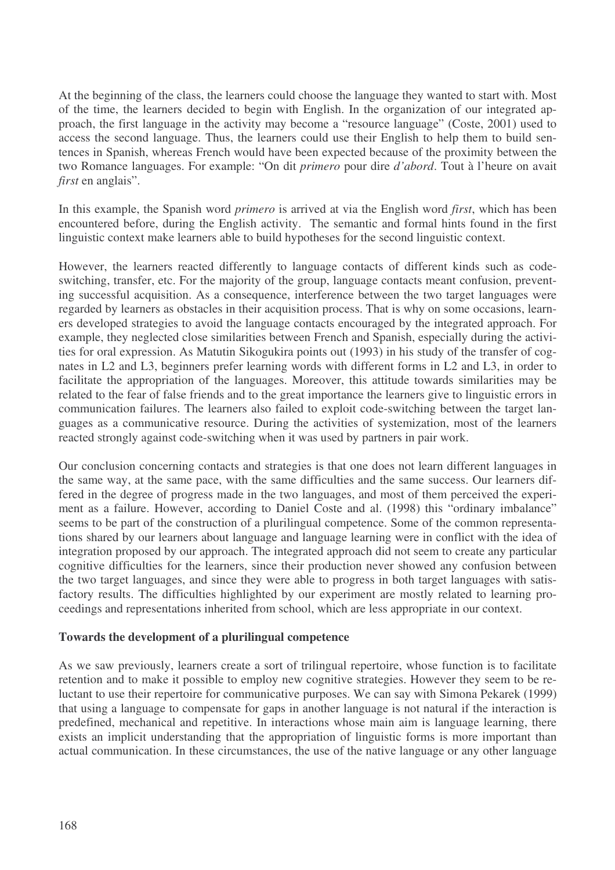At the beginning of the class, the learners could choose the language they wanted to start with. Most of the time, the learners decided to begin with English. In the organization of our integrated approach, the first language in the activity may become a "resource language" (Coste, 2001) used to access the second language. Thus, the learners could use their English to help them to build sentences in Spanish, whereas French would have been expected because of the proximity between the two Romance languages. For example: "On dit *primero* pour dire *d'abord*. Tout à l'heure on avait *first* en anglais".

In this example, the Spanish word *primero* is arrived at via the English word *first*, which has been encountered before, during the English activity. The semantic and formal hints found in the first linguistic context make learners able to build hypotheses for the second linguistic context.

However, the learners reacted differently to language contacts of different kinds such as codeswitching, transfer, etc. For the majority of the group, language contacts meant confusion, preventing successful acquisition. As a consequence, interference between the two target languages were regarded by learners as obstacles in their acquisition process. That is why on some occasions, learners developed strategies to avoid the language contacts encouraged by the integrated approach. For example, they neglected close similarities between French and Spanish, especially during the activities for oral expression. As Matutin Sikogukira points out (1993) in his study of the transfer of cognates in L2 and L3, beginners prefer learning words with different forms in L2 and L3, in order to facilitate the appropriation of the languages. Moreover, this attitude towards similarities may be related to the fear of false friends and to the great importance the learners give to linguistic errors in communication failures. The learners also failed to exploit code-switching between the target languages as a communicative resource. During the activities of systemization, most of the learners reacted strongly against code-switching when it was used by partners in pair work.

Our conclusion concerning contacts and strategies is that one does not learn different languages in the same way, at the same pace, with the same difficulties and the same success. Our learners differed in the degree of progress made in the two languages, and most of them perceived the experiment as a failure. However, according to Daniel Coste and al. (1998) this "ordinary imbalance" seems to be part of the construction of a plurilingual competence. Some of the common representations shared by our learners about language and language learning were in conflict with the idea of integration proposed by our approach. The integrated approach did not seem to create any particular cognitive difficulties for the learners, since their production never showed any confusion between the two target languages, and since they were able to progress in both target languages with satisfactory results. The difficulties highlighted by our experiment are mostly related to learning proceedings and representations inherited from school, which are less appropriate in our context.

## **Towards the development of a plurilingual competence**

As we saw previously, learners create a sort of trilingual repertoire, whose function is to facilitate retention and to make it possible to employ new cognitive strategies. However they seem to be reluctant to use their repertoire for communicative purposes. We can say with Simona Pekarek (1999) that using a language to compensate for gaps in another language is not natural if the interaction is predefined, mechanical and repetitive. In interactions whose main aim is language learning, there exists an implicit understanding that the appropriation of linguistic forms is more important than actual communication. In these circumstances, the use of the native language or any other language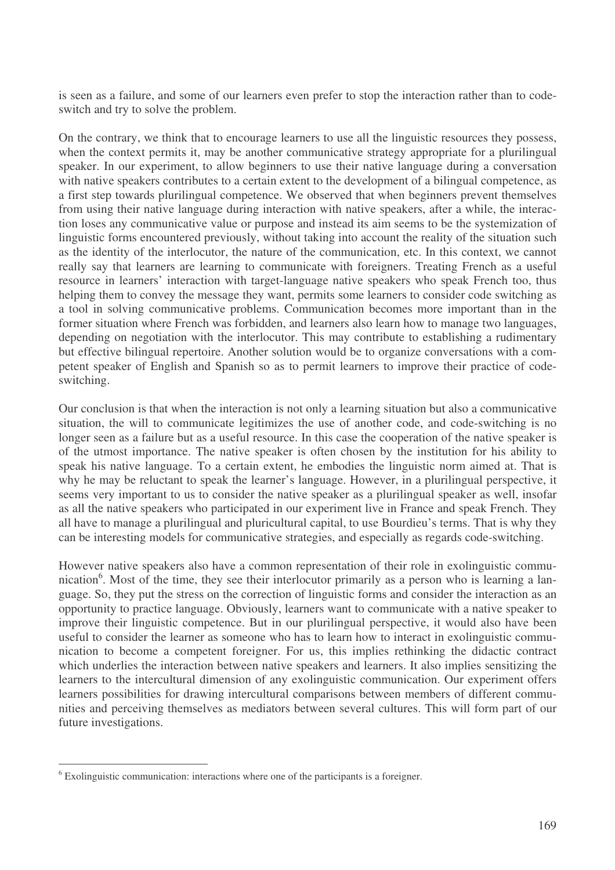is seen as a failure, and some of our learners even prefer to stop the interaction rather than to codeswitch and try to solve the problem.

On the contrary, we think that to encourage learners to use all the linguistic resources they possess, when the context permits it, may be another communicative strategy appropriate for a plurilingual speaker. In our experiment, to allow beginners to use their native language during a conversation with native speakers contributes to a certain extent to the development of a bilingual competence, as a first step towards plurilingual competence. We observed that when beginners prevent themselves from using their native language during interaction with native speakers, after a while, the interaction loses any communicative value or purpose and instead its aim seems to be the systemization of linguistic forms encountered previously, without taking into account the reality of the situation such as the identity of the interlocutor, the nature of the communication, etc. In this context, we cannot really say that learners are learning to communicate with foreigners. Treating French as a useful resource in learners' interaction with target-language native speakers who speak French too, thus helping them to convey the message they want, permits some learners to consider code switching as a tool in solving communicative problems. Communication becomes more important than in the former situation where French was forbidden, and learners also learn how to manage two languages, depending on negotiation with the interlocutor. This may contribute to establishing a rudimentary but effective bilingual repertoire. Another solution would be to organize conversations with a competent speaker of English and Spanish so as to permit learners to improve their practice of codeswitching.

Our conclusion is that when the interaction is not only a learning situation but also a communicative situation, the will to communicate legitimizes the use of another code, and code-switching is no longer seen as a failure but as a useful resource. In this case the cooperation of the native speaker is of the utmost importance. The native speaker is often chosen by the institution for his ability to speak his native language. To a certain extent, he embodies the linguistic norm aimed at. That is why he may be reluctant to speak the learner's language. However, in a plurilingual perspective, it seems very important to us to consider the native speaker as a plurilingual speaker as well, insofar as all the native speakers who participated in our experiment live in France and speak French. They all have to manage a plurilingual and pluricultural capital, to use Bourdieu's terms. That is why they can be interesting models for communicative strategies, and especially as regards code-switching.

However native speakers also have a common representation of their role in exolinguistic communication<sup>6</sup>. Most of the time, they see their interlocutor primarily as a person who is learning a language. So, they put the stress on the correction of linguistic forms and consider the interaction as an opportunity to practice language. Obviously, learners want to communicate with a native speaker to improve their linguistic competence. But in our plurilingual perspective, it would also have been useful to consider the learner as someone who has to learn how to interact in exolinguistic communication to become a competent foreigner. For us, this implies rethinking the didactic contract which underlies the interaction between native speakers and learners. It also implies sensitizing the learners to the intercultural dimension of any exolinguistic communication. Our experiment offers learners possibilities for drawing intercultural comparisons between members of different communities and perceiving themselves as mediators between several cultures. This will form part of our future investigations.

<sup>6</sup> Exolinguistic communication: interactions where one of the participants is a foreigner.